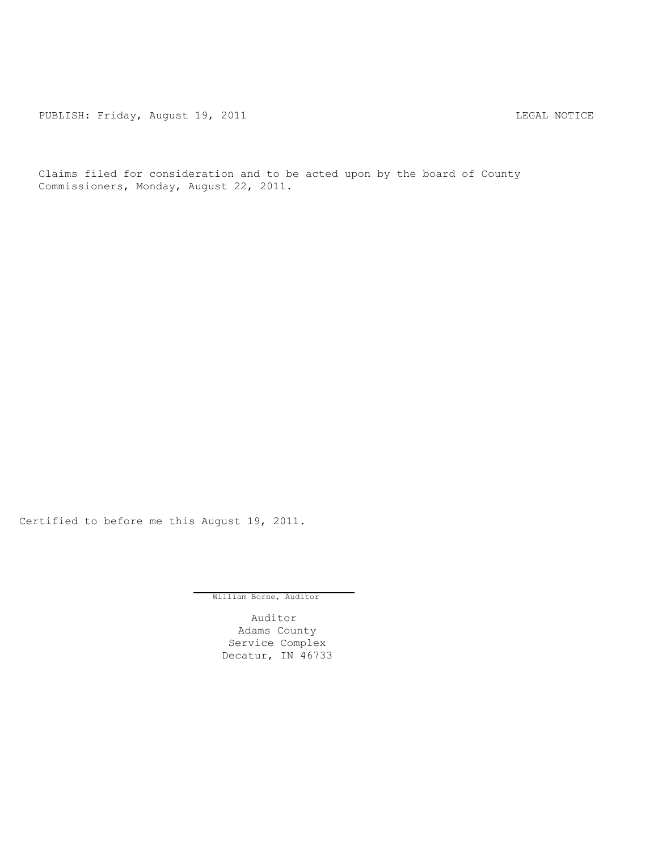PUBLISH: Friday, August 19, 2011 **LEGAL MOTICE** 

Claims filed for consideration and to be acted upon by the board of County Commissioners, Monday, August 22, 2011.

Certified to before me this August 19, 2011.

William Borne, Auditor

Auditor Adams County Service Complex Decatur, IN 46733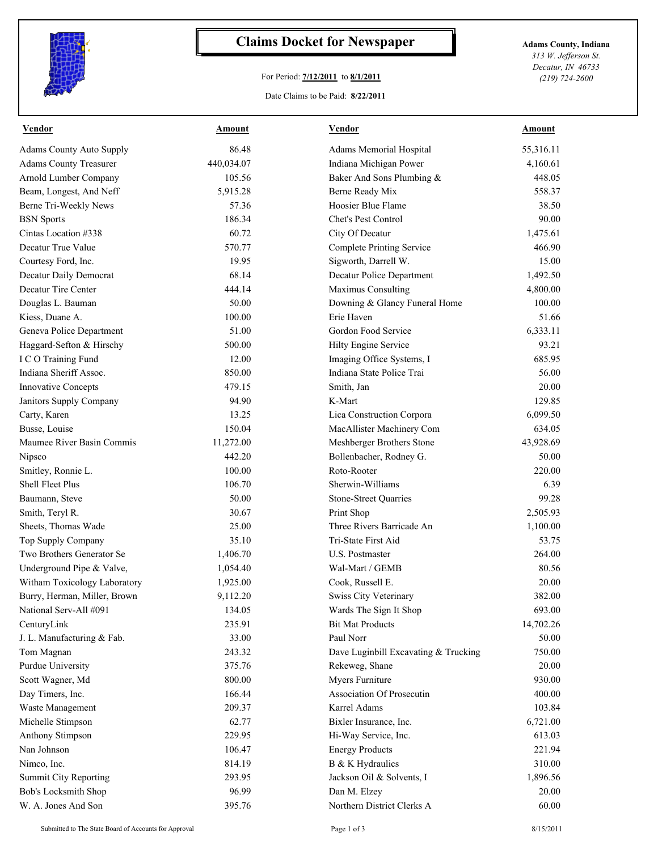

## **Claims Docket for Newspaper Adams County, Indiana**

## For Period: **7/12/2011** to **8/1/2011**

Date Claims to be Paid: **8/22/2011**

*313 W. Jefferson St. Decatur, IN 46733 (219) 724-2600*

| <b>Vendor</b>                   | <b>Amount</b> | <b>Vendor</b>                        | <b>Amount</b> |
|---------------------------------|---------------|--------------------------------------|---------------|
| <b>Adams County Auto Supply</b> | 86.48         | Adams Memorial Hospital              | 55,316.11     |
| <b>Adams County Treasurer</b>   | 440,034.07    | Indiana Michigan Power               | 4,160.61      |
| <b>Arnold Lumber Company</b>    | 105.56        | Baker And Sons Plumbing &            | 448.05        |
| Beam, Longest, And Neff         | 5,915.28      | Berne Ready Mix                      | 558.37        |
| Berne Tri-Weekly News           | 57.36         | Hoosier Blue Flame                   | 38.50         |
| <b>BSN</b> Sports               | 186.34        | Chet's Pest Control                  | 90.00         |
| Cintas Location #338            | 60.72         | City Of Decatur                      | 1,475.61      |
| Decatur True Value              | 570.77        | <b>Complete Printing Service</b>     | 466.90        |
| Courtesy Ford, Inc.             | 19.95         | Sigworth, Darrell W.                 | 15.00         |
| Decatur Daily Democrat          | 68.14         | Decatur Police Department            | 1,492.50      |
| Decatur Tire Center             | 444.14        | Maximus Consulting                   | 4,800.00      |
| Douglas L. Bauman               | 50.00         | Downing & Glancy Funeral Home        | 100.00        |
| Kiess, Duane A.                 | 100.00        | Erie Haven                           | 51.66         |
| Geneva Police Department        | 51.00         | Gordon Food Service                  | 6,333.11      |
| Haggard-Sefton & Hirschy        | 500.00        | Hilty Engine Service                 | 93.21         |
| I C O Training Fund             | 12.00         | Imaging Office Systems, I            | 685.95        |
| Indiana Sheriff Assoc.          | 850.00        | Indiana State Police Trai            | 56.00         |
| <b>Innovative Concepts</b>      | 479.15        | Smith, Jan                           | 20.00         |
| Janitors Supply Company         | 94.90         | K-Mart                               | 129.85        |
| Carty, Karen                    | 13.25         | Lica Construction Corpora            | 6,099.50      |
| Busse, Louise                   | 150.04        | MacAllister Machinery Com            | 634.05        |
| Maumee River Basin Commis       | 11,272.00     | Meshberger Brothers Stone            | 43,928.69     |
| Nipsco                          | 442.20        | Bollenbacher, Rodney G.              | 50.00         |
| Smitley, Ronnie L.              | 100.00        | Roto-Rooter                          | 220.00        |
| Shell Fleet Plus                | 106.70        | Sherwin-Williams                     | 6.39          |
| Baumann, Steve                  | 50.00         | <b>Stone-Street Quarries</b>         | 99.28         |
| Smith, Teryl R.                 | 30.67         | Print Shop                           | 2,505.93      |
| Sheets, Thomas Wade             | 25.00         | Three Rivers Barricade An            | 1,100.00      |
| Top Supply Company              | 35.10         | Tri-State First Aid                  | 53.75         |
| Two Brothers Generator Se       | 1,406.70      | <b>U.S. Postmaster</b>               | 264.00        |
| Underground Pipe & Valve,       | 1,054.40      | Wal-Mart / GEMB                      | 80.56         |
| Witham Toxicology Laboratory    | 1,925.00      | Cook, Russell E.                     | 20.00         |
| Burry, Herman, Miller, Brown    | 9,112.20      | <b>Swiss City Veterinary</b>         | 382.00        |
| National Serv-All #091          | 134.05        | Wards The Sign It Shop               | 693.00        |
| CenturyLink                     | 235.91        | <b>Bit Mat Products</b>              | 14,702.26     |
| J. L. Manufacturing & Fab.      | 33.00         | Paul Norr                            | 50.00         |
| Tom Magnan                      | 243.32        | Dave Luginbill Excavating & Trucking | 750.00        |
| Purdue University               | 375.76        | Rekeweg, Shane                       | 20.00         |
| Scott Wagner, Md                | 800.00        | Myers Furniture                      | 930.00        |
| Day Timers, Inc.                | 166.44        | Association Of Prosecutin            | 400.00        |
| Waste Management                | 209.37        | Karrel Adams                         | 103.84        |
| Michelle Stimpson               | 62.77         | Bixler Insurance, Inc.               | 6,721.00      |
| <b>Anthony Stimpson</b>         | 229.95        | Hi-Way Service, Inc.                 | 613.03        |
| Nan Johnson                     | 106.47        | <b>Energy Products</b>               | 221.94        |
| Nimco, Inc.                     | 814.19        | B & K Hydraulics                     | 310.00        |
| Summit City Reporting           | 293.95        | Jackson Oil & Solvents, I            | 1,896.56      |
| Bob's Locksmith Shop            | 96.99         | Dan M. Elzey                         | 20.00         |
| W. A. Jones And Son             | 395.76        | Northern District Clerks A           | 60.00         |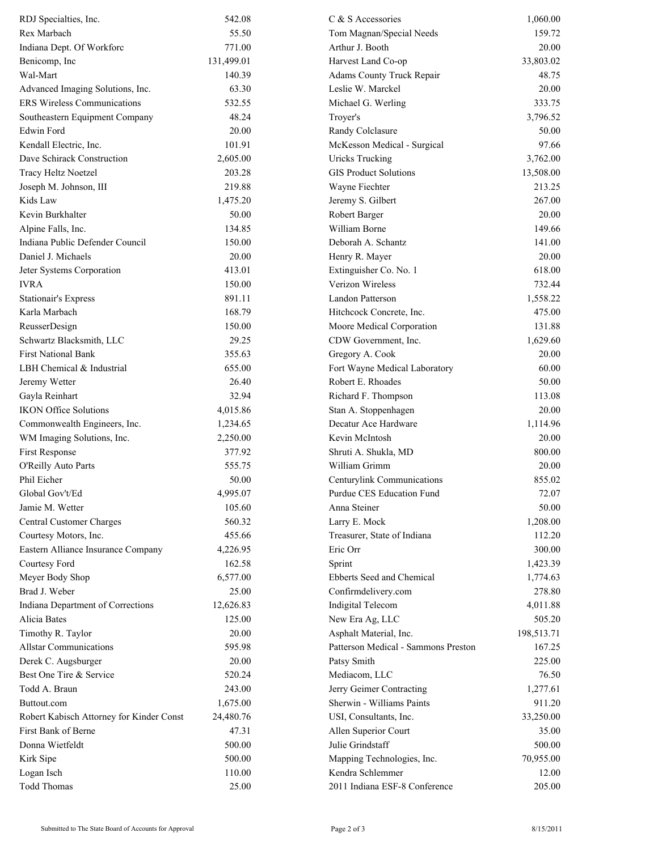| RDJ Specialties, Inc.                    | 542.08     | C & S Accessories                   | 1,060.00   |
|------------------------------------------|------------|-------------------------------------|------------|
| Rex Marbach                              | 55.50      | Tom Magnan/Special Needs            | 159.72     |
| Indiana Dept. Of Workforc                | 771.00     | Arthur J. Booth                     | 20.00      |
| Benicomp, Inc.                           | 131,499.01 | Harvest Land Co-op                  | 33,803.02  |
| Wal-Mart                                 | 140.39     | Adams County Truck Repair           | 48.75      |
| Advanced Imaging Solutions, Inc.         | 63.30      | Leslie W. Marckel                   | 20.00      |
| <b>ERS Wireless Communications</b>       | 532.55     | Michael G. Werling                  | 333.75     |
| Southeastern Equipment Company           | 48.24      | Troyer's                            | 3,796.52   |
| <b>Edwin Ford</b>                        | 20.00      | Randy Colclasure                    | 50.00      |
| Kendall Electric, Inc.                   | 101.91     | McKesson Medical - Surgical         | 97.66      |
| Dave Schirack Construction               | 2,605.00   | <b>Uricks Trucking</b>              | 3,762.00   |
| Tracy Heltz Noetzel                      | 203.28     | <b>GIS Product Solutions</b>        | 13,508.00  |
| Joseph M. Johnson, III                   | 219.88     | Wayne Fiechter                      | 213.25     |
| Kids Law                                 | 1,475.20   | Jeremy S. Gilbert                   | 267.00     |
| Kevin Burkhalter                         | 50.00      | Robert Barger                       | 20.00      |
| Alpine Falls, Inc.                       | 134.85     | William Borne                       | 149.66     |
| Indiana Public Defender Council          | 150.00     | Deborah A. Schantz                  | 141.00     |
| Daniel J. Michaels                       | 20.00      | Henry R. Mayer                      | 20.00      |
|                                          |            |                                     |            |
| Jeter Systems Corporation                | 413.01     | Extinguisher Co. No. 1              | 618.00     |
| <b>IVRA</b>                              | 150.00     | Verizon Wireless                    | 732.44     |
| <b>Stationair's Express</b>              | 891.11     | Landon Patterson                    | 1,558.22   |
| Karla Marbach                            | 168.79     | Hitchcock Concrete, Inc.            | 475.00     |
| ReusserDesign                            | 150.00     | Moore Medical Corporation           | 131.88     |
| Schwartz Blacksmith, LLC                 | 29.25      | CDW Government, Inc.                | 1,629.60   |
| <b>First National Bank</b>               | 355.63     | Gregory A. Cook                     | 20.00      |
| LBH Chemical & Industrial                | 655.00     | Fort Wayne Medical Laboratory       | 60.00      |
| Jeremy Wetter                            | 26.40      | Robert E. Rhoades                   | 50.00      |
| Gayla Reinhart                           | 32.94      | Richard F. Thompson                 | 113.08     |
| <b>IKON Office Solutions</b>             | 4,015.86   | Stan A. Stoppenhagen                | 20.00      |
| Commonwealth Engineers, Inc.             | 1,234.65   | Decatur Ace Hardware                | 1,114.96   |
| WM Imaging Solutions, Inc.               | 2,250.00   | Kevin McIntosh                      | 20.00      |
| First Response                           | 377.92     | Shruti A. Shukla, MD                | 800.00     |
| O'Reilly Auto Parts                      | 555.75     | William Grimm                       | 20.00      |
| Phil Eicher                              | 50.00      | Centurylink Communications          | 855.02     |
| Global Gov't/Ed                          | 4,995.07   | Purdue CES Education Fund           | 72.07      |
| Jamie M. Wetter                          | 105.60     | Anna Steiner                        | 50.00      |
| Central Customer Charges                 | 560.32     | Larry E. Mock                       | 1,208.00   |
| Courtesy Motors, Inc.                    | 455.66     | Treasurer, State of Indiana         | 112.20     |
| Eastern Alliance Insurance Company       | 4,226.95   | Eric Orr                            | 300.00     |
| Courtesy Ford                            | 162.58     | Sprint                              | 1,423.39   |
| Meyer Body Shop                          | 6,577.00   | Ebberts Seed and Chemical           | 1,774.63   |
| Brad J. Weber                            | 25.00      | Confirmdelivery.com                 | 278.80     |
| Indiana Department of Corrections        | 12,626.83  | Indigital Telecom                   | 4,011.88   |
| Alicia Bates                             | 125.00     | New Era Ag, LLC                     | 505.20     |
| Timothy R. Taylor                        | 20.00      | Asphalt Material, Inc.              | 198,513.71 |
| <b>Allstar Communications</b>            | 595.98     | Patterson Medical - Sammons Preston | 167.25     |
| Derek C. Augsburger                      | 20.00      | Patsy Smith                         | 225.00     |
| Best One Tire & Service                  | 520.24     | Mediacom, LLC                       | 76.50      |
| Todd A. Braun                            | 243.00     | Jerry Geimer Contracting            | 1,277.61   |
| Buttout.com                              | 1,675.00   | Sherwin - Williams Paints           | 911.20     |
| Robert Kabisch Attorney for Kinder Const | 24,480.76  | USI, Consultants, Inc.              | 33,250.00  |
| First Bank of Berne                      | 47.31      | Allen Superior Court                | 35.00      |
| Donna Wietfeldt                          | 500.00     | Julie Grindstaff                    | 500.00     |
| Kirk Sipe                                | 500.00     | Mapping Technologies, Inc.          | 70,955.00  |
| Logan Isch                               | 110.00     | Kendra Schlemmer                    | 12.00      |
| <b>Todd Thomas</b>                       | 25.00      | 2011 Indiana ESF-8 Conference       | 205.00     |